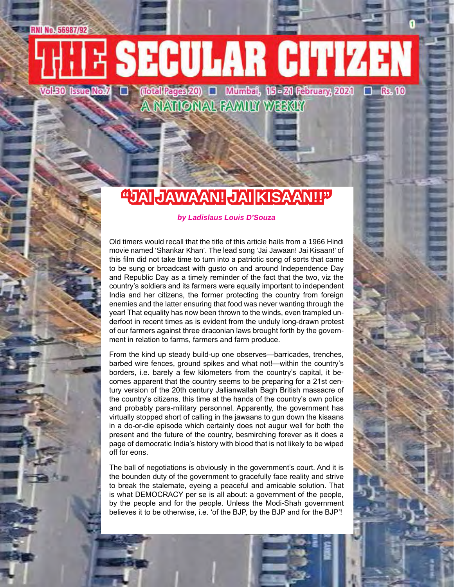# **THE SECULAR CITIZEN**

Vol.50 IsveNo $J$  D (Iotal Rages 20) D Mumbai, 15-21 Rebruary, 2021 D Rs. 10<br>A NATIONAL FAMILY WEEKLY

### **"JAI JAWAAN! JAI KISAAN!!"**

### *by Ladislaus Louis D'Souza*

Old timers would recall that the title of this article hails from a 1966 Hindi movie named 'Shankar Khan'. The lead song 'Jai Jawaan! Jai Kisaan!' of this film did not take time to turn into a patriotic song of sorts that came to be sung or broadcast with gusto on and around Independence Day and Republic Day as a timely reminder of the fact that the two, viz the country's soldiers and its farmers were equally important to independent India and her citizens, the former protecting the country from foreign enemies and the latter ensuring that food was never wanting through the year! That equality has now been thrown to the winds, even trampled underfoot in recent times as is evident from the unduly long-drawn protest of our farmers against three draconian laws brought forth by the government in relation to farms, farmers and farm produce.

From the kind up steady build-up one observes—barricades, trenches, barbed wire fences, ground spikes and what not!—within the country's borders, i.e. barely a few kilometers from the country's capital, it becomes apparent that the country seems to be preparing for a 21st century version of the 20th century Jallianwallah Bagh British massacre of the country's citizens, this time at the hands of the country's own police and probably para-military personnel. Apparently, the government has virtually stopped short of calling in the jawaans to gun down the kisaans in a do-or-die episode which certainly does not augur well for both the present and the future of the country, besmirching forever as it does a page of democratic India's history with blood that is not likely to be wiped off for eons.

The ball of negotiations is obviously in the government's court. And it is the bounden duty of the government to gracefully face reality and strive to break the stalemate, eyeing a peaceful and amicable solution. That is what DEMOCRACY per se is all about: a government of the people, by the people and for the people. Unless the Modi-Shah government believes it to be otherwise, i.e. 'of the BJP, by the BJP and for the BJP'!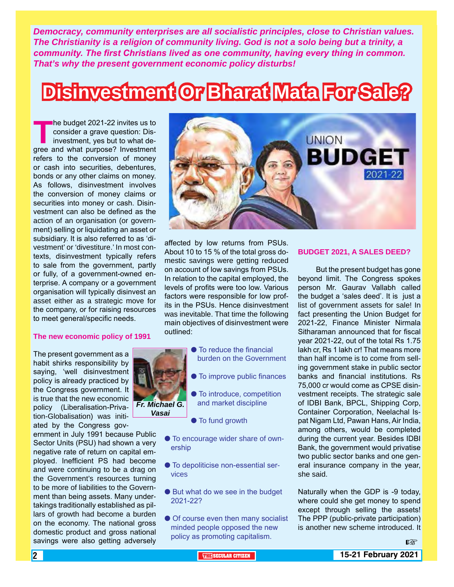*Democracy, community enterprises are all socialistic principles, close to Christian values. The Christianity is a religion of community living. God is not a solo being but a trinity, a community. The first Christians lived as one community, having every thing in common. That's why the present government economic policy disturbs!*

## **Disinvestment Or Bharat Mata For Sale?**

**The budget 2021-22 invites us to consider a grave question: Disinvestment, yes but to what degree and what purpose? Investment** consider a grave question: Disinvestment, yes but to what derefers to the conversion of money or cash into securities, debentures, bonds or any other claims on money. As follows, disinvestment involves the conversion of money claims or securities into money or cash. Disinvestment can also be defined as the action of an organisation (or government) selling or liquidating an asset or subsidiary. It is also referred to as 'divestment' or 'divestiture.' In most contexts, disinvestment typically refers to sale from the government, partly or fully, of a government-owned enterprise. A company or a government organisation will typically disinvest an asset either as a strategic move for the company, or for raising resources to meet general/specific needs.

#### **The new economic policy of 1991**

The present government as a habit shirks responsibility by saying, 'well disinvestment policy is already practiced by the Congress government. It is true that the new economic policy (Liberalisation-Privation-Globalisation) was initiated by the Congress gov-

ernment in July 1991 because Public Sector Units (PSU) had shown a very negative rate of return on capital employed. Inefficient PS had become and were continuing to be a drag on the Government's resources turning to be more of liabilities to the Government than being assets. Many undertakings traditionally established as pillars of growth had become a burden on the economy. The national gross domestic product and gross national savings were also getting adversely



affected by low returns from PSUs. About 10 to 15 % of the total gross domestic savings were getting reduced on account of low savings from PSUs. In relation to the capital employed, the levels of profits were too low. Various factors were responsible for low profits in the PSUs. Hence disinvestment was inevitable. That time the following main objectives of disinvestment were outlined:

- **To reduce the financial**  burden on the Government
	- **To improve public finances**
	- **To introduce, competition** and market discipline
	- $\bullet$  To fund growth

*Fr. Michael G. Vasai*

- $\bullet$  To encourage wider share of ownership
- $\bullet$  To depoliticise non-essential services
- But what do we see in the budget 2021-22?
- **Of course even then many socialist** minded people opposed the new policy as promoting capitalism.

#### **BUDGET 2021, A SALES DEED?**

 But the present budget has gone beyond limit. The Congress spokes person Mr. Gaurav Vallabh called the budget a 'sales deed'. It is just a list of government assets for sale! In fact presenting the Union Budget for 2021-22, Finance Minister Nirmala Sitharaman announced that for fiscal year 2021-22, out of the total Rs 1.75 lakh cr, Rs 1 lakh cr! That means more than half income is to come from selling government stake in public sector banks and financial institutions. Rs 75,000 cr would come as CPSE disinvestment receipts. The strategic sale of IDBI Bank, BPCL, Shipping Corp, Container Corporation, Neelachal Ispat Nigam Ltd, Pawan Hans, Air India, among others, would be completed during the current year. Besides IDBI Bank, the government would privatise two public sector banks and one general insurance company in the year, she said.

Naturally when the GDP is -9 today, where could she get money to spend except through selling the assets! The PPP (public-private participation) is another new scheme introduced. It

rð.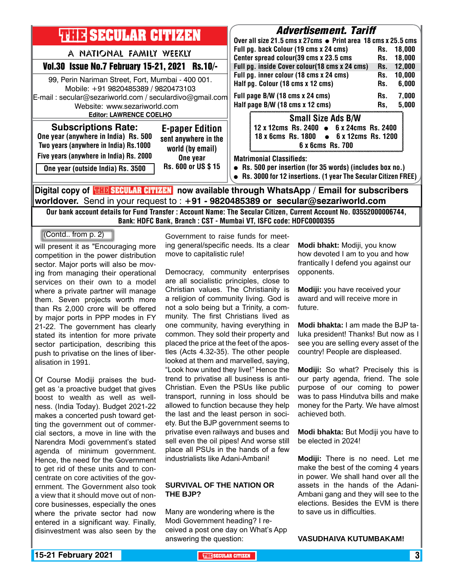| <b>THIR SECULAR CITIZEN</b>                                                                                                                                                                                                                                                                                                                                                         | <b>Advertisement. Tariff</b><br>Over all size 21.5 cms x 27cms ● Print area 18 cms x 25.5 cms                                                                                                                                                    |
|-------------------------------------------------------------------------------------------------------------------------------------------------------------------------------------------------------------------------------------------------------------------------------------------------------------------------------------------------------------------------------------|--------------------------------------------------------------------------------------------------------------------------------------------------------------------------------------------------------------------------------------------------|
| A NATIONAL FAMILY WEEKLY<br>Vol.30 Issue No.7 February 15-21, 2021 Rs.10/-                                                                                                                                                                                                                                                                                                          | Full pg. back Colour (19 cms x 24 cms)<br>Rs. 18,000<br>Center spread colour(39 cms x 23.5 cms<br>18,000<br>Rs.<br>Full pg. inside Cover colour(18 cms x 24 cms)<br>12,000<br>Rs.                                                                |
| 99, Perin Nariman Street, Fort, Mumbai - 400 001.<br>Mobile: +91 9820485389 / 9820473103<br>E-mail: secular@sezariworld.com / seculardivo@gmail.com<br>Website: www.sezariworld.com<br><b>Editor: LAWRENCE COELHO</b>                                                                                                                                                               | Full pg. inner colour (18 cms x 24 cms)<br>10,000<br>Rs.<br>Half pg. Colour (18 cms x 12 cms)<br>6,000<br>Rs.<br>Full page B/W (18 cms x 24 cms)<br>7,000<br>Rs.<br>Half page B/W (18 cms x 12 cms)<br>5,000<br>Rs,<br><b>Small Size Ads B/W</b> |
| <b>Subscriptions Rate:</b><br><b>E-paper Edition</b><br>One year (anywhere in India) Rs. 500<br>sent anywhere in the<br>Two years (anywhere in India) Rs.1000<br>world (by email)                                                                                                                                                                                                   | 12 x 12cms Rs. 2400 • 6 x 24cms Rs. 2400<br>18 x 6cms Rs. 1800 • 6 x 12cms Rs. 1200<br>6 x 6cms Rs. 700                                                                                                                                          |
| Five years (anywhere in India) Rs. 2000<br>One year<br>Rs. 600 or US \$15<br>One year (outside India) Rs. 3500                                                                                                                                                                                                                                                                      | <b>Matrimonial Classifieds:</b><br>• Rs. 500 per insertion (for 35 words) (includes box no.)<br>• Rs. 3000 for 12 insertions. (1 year The Secular Citizen FREE)                                                                                  |
| Digital copy of <b>THE SECULAR CITIZEN</b> now available through WhatsApp / Email for subscribers<br>$\sim$ 1.0 $\sim$ 0.0 $\sim$ 1.0 $\sim$ 0.0 $\sim$ 0.0 $\sim$ 0.0 $\sim$ 0.0 $\sim$ 0.0 $\sim$ 0.0 $\sim$ 0.0 $\sim$ 0.0 $\sim$ 0.0 $\sim$ 0.0 $\sim$ 0.0 $\sim$ 0.0 $\sim$ 0.0 $\sim$ 0.0 $\sim$ 0.0 $\sim$ 0.0 $\sim$ 0.0 $\sim$ 0.0 $\sim$ 0.0 $\sim$ 0.0 $\sim$ 0.0 $\sim$ |                                                                                                                                                                                                                                                  |

**worldover.** Send in your request to : **+91 - 9820485389 or secular@sezariworld.com** Our bank account details for Fund Transfer : Account Name: The Secular Citizen, Current Account No. 03552000006744, Bank: HDFC Bank, Branch : CST - Mumbai VT, ISFC code: HDFC0000355

(Contd.. from p. 2)

will present it as "Encouraging more competition in the power distribution sector. Major ports will also be moving from managing their operational services on their own to a model where a private partner will manage them. Seven projects worth more than Rs 2,000 crore will be offered by major ports in PPP modes in FY 21-22. The government has clearly stated its intention for more private sector participation, describing this push to privatise on the lines of liberalisation in 1991.

Of Course Modiji praises the budget as 'a proactive budget that gives boost to wealth as well as wellness. (India Today). Budget 2021-22 makes a concerted push toward getting the government out of commercial sectors, a move in line with the Narendra Modi government's stated agenda of minimum government. Hence, the need for the Government to get rid of these units and to concentrate on core activities of the government. The Government also took a view that it should move out of noncore businesses, especially the ones where the private sector had now entered in a significant way. Finally, disinvestment was also seen by the

Government to raise funds for meeting general/specific needs. Its a clear move to capitalistic rule!

Democracy, community enterprises are all socialistic principles, close to Christian values. The Christianity is a religion of community living. God is not a solo being but a Trinity, a community. The first Christians lived as one community, having everything in common. They sold their property and placed the price at the feet of the apostles (Acts 4.32-35). The other people looked at them and marvelled, saying, "Look how united they live!" Hence the trend to privatise all business is anti-Christian. Even the PSUs like public transport, running in loss should be allowed to function because they help the last and the least person in society. But the BJP government seems to privatise even railways and buses and sell even the oil pipes! And worse still place all PSUs in the hands of a few industrialists like Adani-Ambani!

### **SURVIVAL OF THE NATION OR THE BJP?**

Many are wondering where is the Modi Government heading? I received a post one day on What's App answering the question:

**Modi bhakt:** Modiji, you know how devoted I am to you and how frantically I defend you against our opponents.

**Modiji:** you have received your award and will receive more in future.

**Modi bhakta:** I am made the BJP taluka president! Thanks! But now as I see you are selling every asset of the country! People are displeased.

**Modiji:** So what? Precisely this is our party agenda, friend. The sole purpose of our coming to power was to pass Hindutva bills and make money for the Party. We have almost achieved both.

**Modi bhakta:** But Modiji you have to be elected in 2024!

**Modiji:** There is no need. Let me make the best of the coming 4 years in power. We shall hand over all the assets in the hands of the Adani-Ambani gang and they will see to the elections. Besides the EVM is there to save us in difficulties.

### **VASUDHAIVA KUTUMBAKAM!**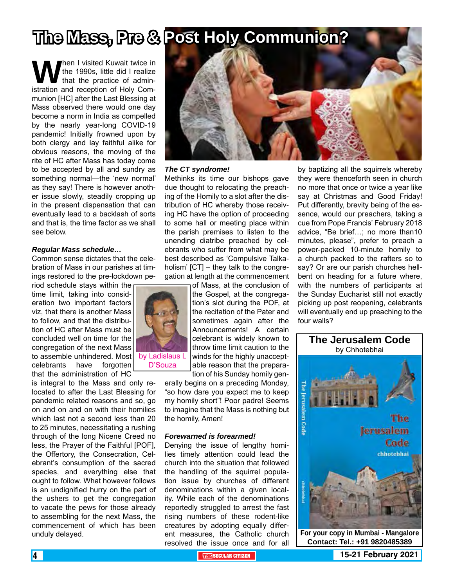### **The Mass, Pre & Post Holy Communion?**

**When I visited Kuwait twice in**<br>that the practice of administration and reception of Holy Comthe 1990s, little did I realize that the practice of adminmunion [HC] after the Last Blessing at Mass observed there would one day become a norm in India as compelled by the nearly year-long COVID-19 pandemic! Initially frowned upon by both clergy and lay faithful alike for obvious reasons, the moving of the rite of HC after Mass has today come to be accepted by all and sundry as something normal—the 'new normal' as they say! There is however another issue slowly, steadily cropping up in the present dispensation that can eventually lead to a backlash of sorts and that is, the time factor as we shall see below.

### *Regular Mass schedule…*

Common sense dictates that the celebration of Mass in our parishes at timings restored to the pre-lockdown pe-

riod schedule stays within the time limit, taking into consideration two important factors viz, that there is another Mass to follow, and that the distribution of HC after Mass must be concluded well on time for the congregation of the next Mass to assemble unhindered. Most celebrants have forgotten that the administration of HC

is integral to the Mass and only relocated to after the Last Blessing for pandemic related reasons and so, go on and on and on with their homilies which last not a second less than 20 to 25 minutes, necessitating a rushing through of the long Nicene Creed no less, the Prayer of the Faithful [POF], the Offertory, the Consecration, Celebrant's consumption of the sacred species, and everything else that ought to follow. What however follows is an undignified hurry on the part of the ushers to get the congregation to vacate the pews for those already to assembling for the next Mass, the commencement of which has been unduly delayed.



### *The CT syndrome!*

Methinks its time our bishops gave due thought to relocating the preaching of the Homily to a slot after the distribution of HC whereby those receiving HC have the option of proceeding to some hall or meeting place within the parish premises to listen to the unending diatribe preached by celebrants who suffer from what may be best described as 'Compulsive Talkaholism' [CT] – they talk to the congregation at length at the commencement of Mass, at the conclusion of



D'Souza

winds for the highly unacceptable reason that the preparation of his Sunday homily generally begins on a preceding Monday, "so how dare you expect me to keep my homily short"! Poor padre! Seems to imagine that the Mass is nothing but

#### *Forewarned is forearmed!*

the homily, Amen!

Denying the issue of lengthy homilies timely attention could lead the church into the situation that followed the handling of the squirrel population issue by churches of different denominations within a given locality. While each of the denominations reportedly struggled to arrest the fast rising numbers of these rodent-like creatures by adopting equally different measures, the Catholic church resolved the issue once and for all

by baptizing all the squirrels whereby they were thenceforth seen in church no more that once or twice a year like say at Christmas and Good Friday! Put differently, brevity being of the essence, would our preachers, taking a cue from Pope Francis' February 2018 advice, "Be brief…; no more than10 minutes, please", prefer to preach a power-packed 10-minute homily to a church packed to the rafters so to say? Or are our parish churches hellbent on heading for a future where, with the numbers of participants at the Sunday Eucharist still not exactly picking up post reopening, celebrants will eventually end up preaching to the four walls?



**Contact: Tel.: +91 9820485389**

**4 THE THE THE SECULAR CITIZEN 15-21 February 2021**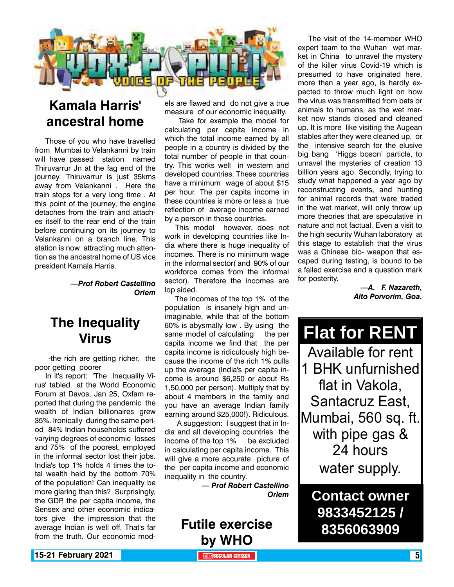

### **Kamala Harris' ancestral home**

Those of you who have travelled from Mumbai to Velankanni by train will have passed station named Thiruvarrur Jn at the fag end of the journey. Thiruvarrur is just 35kms away from Velankanni . Here the train stops for a very long time . At this point of the journey, the engine detaches from the train and attaches itself to the rear end of the train before continuing on its journey to Velankanni on a branch line. This station is now attracting much attention as the ancestral home of US vice president Kamala Harris.

> *—Prof Robert Castellino Orlem*

### **The Inequality Virus**

 -the rich are getting richer, the poor getting poorer

In it's report: 'The Inequality Virus' tabled at the World Economic Forum at Davos, Jan 25, Oxfam reported that during the pandemic the wealth of Indian billionaires grew 35%. Ironically during the same period 84% Indian households suffered varying degrees of economic losses and 75% of the poorest, employed in the informal sector lost their jobs. India's top 1% holds 4 times the total wealth held by the bottom 70% of the population! Can inequality be more glaring than this? Surprisingly, the GDP, the per capita income, the Sensex and other economic indicators give the impression that the average Indian is well off. That's far from the truth. Our economic models are flawed and do not give a true measure of our economic inequality.

 Take for example the model for calculating per capita income in which the total income earned by all people in a country is divided by the total number of people in that country. This works well in western and developed countries. These countries have a minimum wage of about \$15 per hour. The per capita income in these countries is more or less a true reflection of average income earned by a person in those countries.

This model however, does not work in developing countries like India where there is huge inequality of incomes. There is no minimum wage in the informal sector( and 90% of our workforce comes from the informal sector). Therefore the incomes are lop sided.

The incomes of the top 1% of the population is insanely high and unimaginable, while that of the bottom 60% is abysmally low . By using the same model of calculating the per capita income we find that the per capita income is ridiculously high because the income of the rich 1% pulls up the average (India's per capita income is around \$6,250 or about Rs 1,50,000 per person). Multiply that by about 4 members in the family and you have an average Indian family earning around \$25,000!). Ridiculous.

 A suggestion: I suggest that in India and all developing countries the income of the top 1% be excluded in calculating per capita income. This will give a more accurate picture of the per capita income and economic inequality in the country.

> *— Prof Robert Castellino Orlem*

**Futile exercise by WHO**

The visit of the 14-member WHO expert team to the Wuhan wet market in China to unravel the mystery of the killer virus Covid-19 which is presumed to have originated here, more than a year ago, is hardly expected to throw much light on how the virus was transmitted from bats or animals to humans, as the wet market now stands closed and cleaned up. It is more like visiting the Augean stables after they were cleaned up, or the intensive search for the elusive big bang 'Higgs boson' particle, to unravel the mysteries of creation 13 billion years ago. Secondly, trying to study what happened a year ago by reconstructing events, and hunting for animal records that were traded in the wet market, will only throw up more theories that are speculative in nature and not factual. Even a visit to the high security Wuhan laboratory at this stage to establish that the virus was a Chinese bio- weapon that escaped during testing, is bound to be a failed exercise and a question mark for posterity.

> *—A. F. Nazareth, Alto Porvorim, Goa.*

**Flat for RENT** Available for rent 1 BHK unfurnished flat in Vakola, Santacruz East, Mumbai, 560 sq. ft. with pipe gas & 24 hours water supply.

**Contact owner 9833452125 / 8356063909**

**15-21 February 2021 The Contract of the SECULAR CITIZEN THE SECULAR CITIZEN THE THE SECULAR CITIZEN**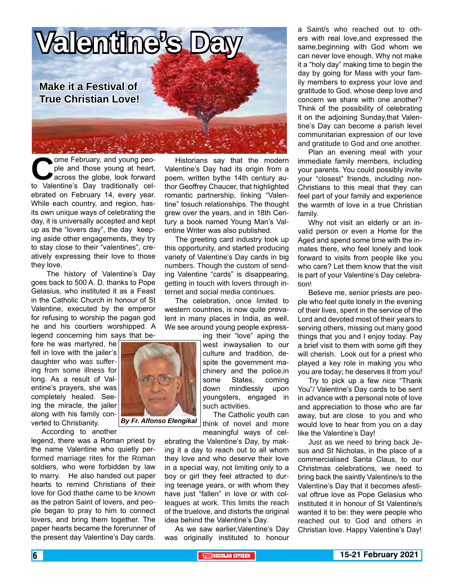

ome February, and young people and those young at heart,<br>across the globe, look forward<br>to Valentine's Day traditionally celple and those young at heart, across the globe, look forward to Valentine's Day traditionally celebrated on February 14, every year. While each country, and region, hasits own unique ways of celebrating the day, it is universally accepted and kept up as the "lovers day", the day keeping aside other engagements, they try to stay close to their "valentines", creatively expressing their love to those they love.

The history of Valentine's Day goes back to 500 A. D. thanks to Pope Gelasius, who instituted it as a Feast in the Catholic Church in honour of St Valentine, executed by the emperor for refusing to worship the pagan god he and his courtiers worshipped. A legend concerning him says that be-

fore he was martyred, he fell in love with the jailer's daughter who was suffering from some illness for long. As a result of Valentine's prayers, she was completely healed. Seeing the miracle, the jailer along with his family converted to Christianity.

According to another

legend, there was a Roman priest by the name Valentine who quietly performed marriage rites for the Roman soldiers, who were forbidden by law to marry. He also handed out paper hearts to remind Christians of their love for God thathe came to be known as the patron Saint of lovers, and people began to pray to him to connect lovers, and bring them together. The paper hearts became the forerunner of the present day Valentine's Day cards.

Historians say that the modern Valentine's Day had its origin from a poem, written bythe 14th century author Geoffrey Chaucer, that highlighted romantic partnership, linking "Valentine" tosuch relationships. The thought grew over the years, and in 18th Century a book named Young Man's Valentine Writer was also published.

The greeting card industry took up this opportunity, and started producing variety of Valentine's Day cards in big numbers. Though the custom of sending Valentine "cards" is disappearing, getting in touch with lovers through internet and social media continues.

The celebration, once limited to western countries, is now quite prevalent in many places in India, as well. We see around young people express-

> ing their "love" aping the west inwaysalien to our culture and tradition, despite the government machinery and the police,in some States, coming down mindlessly upon youngsters, engaged in such activities.

The Catholic youth can think of novel and more

meaningful ways of celebrating the Valentine's Day, by making it a day to reach out to all whom they love and who deserve their love in a special way, not limiting only to a boy or girl they feel attracted to during teenage years, or with whom they have just "fallen" in love or with colleagues at work. This limits the reach of the truelove, and distorts the original idea behind the Valentine's Day.

As we saw earlier,Valentine's Day was originally instituted to honour a Saint/s who reached out to others with real love,and expressed the same,beginning with God whom we can never love enough. Why not make it a "holy day" making time to begin the day by going for Mass with your family members to express your love and gratitude to God, whose deep love and concern we share with one another? Think of the possibility of celebrating it on the adjoining Sunday,that Valentine's Day can become a parish level communitarian expression of our love and gratitude to God and one another.

Plan an evening meal with your immediate family members, including your parents. You could possibly invite your "closest" friends, including non-Christians to this meal that they can feel part of your family and experience the warmth of love in a true Christian family.

Why not visit an elderly or an invalid person or even a Home for the Aged and spend some time with the inmates there, who feel lonely and look forward to visits from people like you who care? Let them know that the visit is part of your Valentine's Day celebration!

Believe me, senior priests are people who feel quite lonely in the evening of their lives, spent in the service of the Lord and devoted most of their years to serving others, missing out many good things that you and I enjoy today. Pay a brief visit to them with some gift they will cherish. Look out for a priest who played a key role in making you who you are today; he deserves it from you!

Try to pick up a few nice "Thank You"/ Valentine's Day cards to be sent in advance with a personal note of love and appreciation to those who are far away, but are close to you and who would love to hear from you on a day like the Valentine's Day!

Just as we need to bring back Jesus and St Nicholas, in the place of a commercialised Santa Claus, to our Christmas celebrations, we need to bring back the saintly Valentine/s to the Valentine's Day that it becomes afestival oftrue love as Pope Gelasius who instituted it in honour of St Valentine/s wanted it to be: they were people who reached out to God and others in Christian love. Happy Valentine's Day!



*By Fr. Alfonso Elengikal*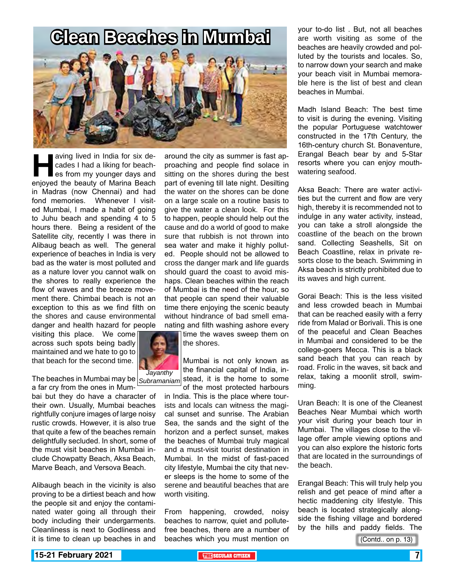### **Clean Beaches in Mumbai**



aving lived in India for six decades I had a liking for beach-<br>es from my younger days and<br>enjoyed the beauty of Marina Beach cades I had a liking for beaches from my younger days and in Madras (now Chennai) and had fond memories. Whenever I visited Mumbai, I made a habit of going to Juhu beach and spending 4 to 5 hours there. Being a resident of the Satellite city, recently I was there in Alibaug beach as well. The general experience of beaches in India is very bad as the water is most polluted and as a nature lover you cannot walk on the shores to really experience the flow of waves and the breeze movement there. Chimbai beach is not an exception to this as we find filth on the shores and cause environmental danger and health hazard for people

visiting this place. We come across such spots being badly maintained and we hate to go to that beach for the second time.



The beaches in Mumbai may be  $|_{\textit{Subramanian}}|$  stead, it is the home to some a far cry from the ones in Mum-

bai but they do have a character of their own. Usually, Mumbai beaches rightfully conjure images of large noisy rustic crowds. However, it is also true that quite a few of the beaches remain delightfully secluded. In short, some of the must visit beaches in Mumbai include Chowpatty Beach, Aksa Beach, Marve Beach, and Versova Beach.

Alibaugh beach in the vicinity is also proving to be a dirtiest beach and how the people sit and enjoy the contaminated water going all through their body including their undergarments. Cleanliness is next to Godliness and it is time to clean up beaches in and

around the city as summer is fast approaching and people find solace in sitting on the shores during the best part of evening till late night. Desilting the water on the shores can be done on a large scale on a routine basis to give the water a clean look. For this to happen, people should help out the cause and do a world of good to make sure that rubbish is not thrown into sea water and make it highly polluted. People should not be allowed to cross the danger mark and life guards should guard the coast to avoid mishaps. Clean beaches within the reach of Mumbai is the need of the hour, so that people can spend their valuable time there enjoying the scenic beauty without hindrance of bad smell emanating and filth washing ashore every

time the waves sweep them on the shores.

Mumbai is not only known as the financial capital of India, inof the most protected harbours

in India. This is the place where tourists and locals can witness the magical sunset and sunrise. The Arabian Sea, the sands and the sight of the horizon and a perfect sunset, makes the beaches of Mumbai truly magical and a must-visit tourist destination in Mumbai. In the midst of fast-paced city lifestyle, Mumbai the city that never sleeps is the home to some of the serene and beautiful beaches that are worth visiting.

From happening, crowded, noisy beaches to narrow, quiet and pollutefree beaches, there are a number of beaches which you must mention on

your to-do list . But, not all beaches are worth visiting as some of the beaches are heavily crowded and polluted by the tourists and locales. So, to narrow down your search and make your beach visit in Mumbai memorable here is the list of best and clean beaches in Mumbai.

Madh Island Beach: The best time to visit is during the evening. Visiting the popular Portuguese watchtower constructed in the 17th Century, the 16th-century church St. Bonaventure, Erangal Beach bear by and 5-Star resorts where you can enjoy mouthwatering seafood.

Aksa Beach: There are water activities but the current and flow are very high, thereby it is recommended not to indulge in any water activity, instead, you can take a stroll alongside the coastline of the beach on the brown sand. Collecting Seashells, Sit on Beach Coastline, relax in private resorts close to the beach. Swimming in Aksa beach is strictly prohibited due to its waves and high current.

Gorai Beach: This is the less visited and less crowded beach in Mumbai that can be reached easily with a ferry ride from Malad or Borivali. This is one of the peaceful and Clean Beaches in Mumbai and considered to be the college-goers Mecca. This is a black sand beach that you can reach by road. Frolic in the waves, sit back and relax, taking a moonlit stroll, swimming.

Uran Beach: It is one of the Cleanest Beaches Near Mumbai which worth your visit during your beach tour in Mumbai. The villages close to the village offer ample viewing options and you can also explore the historic forts that are located in the surroundings of the beach.

Erangal Beach: This will truly help you relish and get peace of mind after a hectic maddening city lifestyle. This beach is located strategically alongside the fishing village and bordered by the hills and paddy fields. The

(Contd.. on p. 13)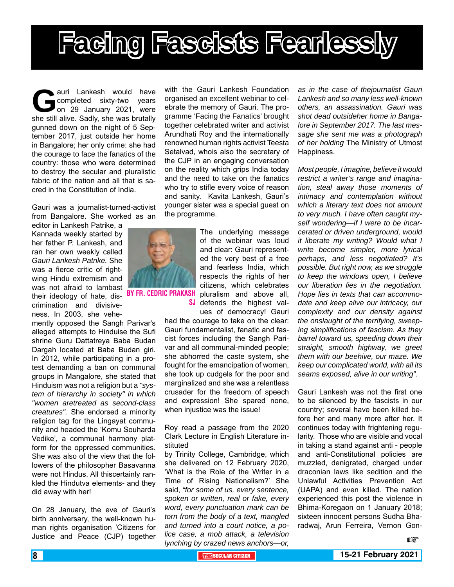

auri Lankesh would have<br>
completed sixty-two years<br>
on 29 January 2021, were<br>
she still alive. Sadly, she was brutally completed sixty-two years on 29 January 2021, were she still alive. Sadly, she was brutally gunned down on the night of 5 September 2017, just outside her home in Bangalore; her only crime: she had the courage to face the fanatics of the country: those who were determined to destroy the secular and pluralistic fabric of the nation and all that is sacred in the Constitution of India.

Gauri was a journalist-turned-activist from Bangalore. She worked as an

editor in Lankesh Patrike, a Kannada weekly started by her father P. Lankesh, and ran her own weekly called *Gauri Lankesh Patrike.* She was a fierce critic of rightwing Hindu extremism and was not afraid to lambast their ideology of hate, dis- BY FR. CEDRIC PRAKA crimination and divisiveness. In 2003, she vehe-

mently opposed the Sangh Parivar's alleged attempts to Hinduise the Sufi shrine Guru Dattatreya Baba Budan Dargah located at Baba Budan giri. In 2012, while participating in a protest demanding a ban on communal groups in Mangalore, she stated that Hinduism was not a religion but a *"system of hierarchy in society" in which "women aretreated as second-class creatures".* She endorsed a minority religion tag for the Lingayat community and headed the 'Komu Souharda Vedike', a communal harmony platform for the oppressed communities. She was also of the view that the followers of the philosopher Basavanna were not Hindus. All thiscertainly rankled the Hindutva elements- and they did away with her!

On 28 January, the eve of Gauri's birth anniversary, the well-known human rights organisation 'Citizens for Justice and Peace (CJP) together with the Gauri Lankesh Foundation organised an excellent webinar to celebrate the memory of Gauri. The programme 'Facing the Fanatics' brought together celebrated writer and activist Arundhati Roy and the internationally renowned human rights activist Teesta Setalvad, whois also the secretary of the CJP in an engaging conversation on the reality which grips India today and the need to take on the fanatics who try to stifle every voice of reason and sanity. Kavita Lankesh, Gauri's younger sister was a special guest on the programme.



The underlying message of the webinar was loud and clear: Gauri represented the very best of a free and fearless India, which respects the rights of her citizens, which celebrates pluralism and above all, SJ defends the highest values of democracy! Gauri

had the courage to take on the clear: Gauri fundamentalist, fanatic and fascist forces including the Sangh Parivar and all communal-minded people; she abhorred the caste system, she fought for the emancipation of women, she took up cudgels for the poor and marginalized and she was a relentless crusader for the freedom of speech and expression! She spared none, when injustice was the issue!

Roy read a passage from the 2020 Clark Lecture in English Literature instituted

by Trinity College, Cambridge, which she delivered on 12 February 2020, 'What is the Role of the Writer in a Time of Rising Nationalism?' She said, *"for some of us, every sentence, spoken or written, real or fake, every word, every punctuation mark can be torn from the body of a text, mangled and turned into a court notice, a police case, a mob attack, a television lynching by crazed news anchors—or,* 

*as in the case of thejournalist Gauri Lankesh and so many less well-known others, an assassination. Gauri was shot dead outsideher home in Bangalore in September 2017. The last message she sent me was a photograph of her holding* The Ministry of Utmost Happiness.

*Most people, I imagine, believe it would restrict a writer's range and imagination, steal away those moments of intimacy and contemplation without which a literary text does not amount to very much. I have often caught myself wondering—if I were to be incarcerated or driven underground, would it liberate my writing? Would what I write become simpler, more lyrical perhaps, and less negotiated? It's possible. But right now, as we struggle to keep the windows open, I believe our liberation lies in the negotiation. Hope lies in texts that can accommodate and keep alive our intricacy, our complexity and our density against the onslaught of the terrifying, sweeping simplifications of fascism. As they barrel toward us, speeding down their straight, smooth highway, we greet them with our beehive, our maze. We keep our complicated world, with all its seams exposed, alive in our writing".*

Gauri Lankesh was not the first one to be silenced by the fascists in our country; several have been killed before her and many more after her. It continues today with frightening regularity. Those who are visible and vocal in taking a stand against anti - people and anti-Constitutional policies are muzzled, denigrated, charged under draconian laws like sedition and the Unlawful Activities Prevention Act (UAPA) and even killed. The nation experienced this post the violence in Bhima-Koregaon on 1 January 2018; sixteen innocent persons Sudha Bharadwaj, Arun Ferreira, Vernon Gon-

**LEST**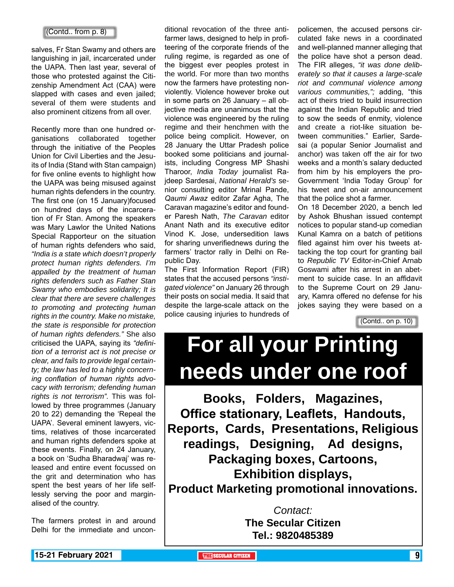### (Contd.. from p. 8)

salves, Fr Stan Swamy and others are languishing in jail, incarcerated under the UAPA. Then last year, several of those who protested against the Citizenship Amendment Act (CAA) were slapped with cases and even jailed; several of them were students and also prominent citizens from all over.

Recently more than one hundred organisations collaborated together through the initiative of the Peoples Union for Civil Liberties and the Jesuits of India (Stand with Stan campaign) for five online events to highlight how the UAPA was being misused against human rights defenders in the country. The first one (on 15 January)focused on hundred days of the incarceration of Fr Stan. Among the speakers was Mary Lawlor the United Nations Special Rapporteur on the situation of human rights defenders who said, *"India is a state which doesn't properly protect human rights defenders. I'm appalled by the treatment of human rights defenders such as Father Stan Swamy who embodies solidarity; It is clear that there are severe challenges to promoting and protecting human rights in the country. Make no mistake, the state is responsible for protection of human rights defenders."* She also criticised the UAPA, saying its *"definition of a terrorist act is not precise or clear, and fails to provide legal certainty; the law has led to a highly concerning conflation of human rights advocacy with terrorism; defending human rights is not terrorism".* This was followed by three programmes (January 20 to 22) demanding the 'Repeal the UAPA'. Several eminent lawyers, victims, relatives of those incarcerated and human rights defenders spoke at these events. Finally, on 24 January, a book on 'Sudha Bharadwaj' was released and entire event focussed on the grit and determination who has spent the best years of her life selflessly serving the poor and marginalised of the country.

The farmers protest in and around Delhi for the immediate and uncon-

ditional revocation of the three antifarmer laws, designed to help in profiteering of the corporate friends of the ruling regime, is regarded as one of the biggest ever peoples protest in the world. For more than two months now the farmers have protesting nonviolently. Violence however broke out in some parts on 26 January – all objective media are unanimous that the violence was engineered by the ruling regime and their henchmen with the police being complicit. However, on 28 January the Uttar Pradesh police booked some politicians and journalists, including Congress MP Shashi Tharoor, *India Today* journalist Rajdeep Sardesai, *National Herald's* senior consulting editor Mrinal Pande, *Qaumi Awaz* editor Zafar Agha, The Caravan magazine's editor and founder Paresh Nath, *The Caravan* editor Anant Nath and its executive editor Vinod K. Jose, undersedition laws for sharing unverifiednews during the farmers' tractor rally in Delhi on Republic Day.

The First Information Report (FIR) states that the accused persons *"instigated violence"* on January 26 through their posts on social media. It said that despite the large-scale attack on the police causing injuries to hundreds of policemen, the accused persons circulated fake news in a coordinated and well-planned manner alleging that the police have shot a person dead. The FIR alleges, *"it was done deliberately so that it causes a large-scale riot and communal violence among various communities,";* adding, "this act of theirs tried to build insurrection against the Indian Republic and tried to sow the seeds of enmity, violence and create a riot-like situation between communities." Earlier, Sardesai (a popular Senior Journalist and anchor) was taken off the air for two weeks and a month's salary deducted from him by his employers the pro-Government 'India Today Group' for his tweet and on-air announcement that the police shot a farmer.

On 18 December 2020, a bench led by Ashok Bhushan issued contempt notices to popular stand-up comedian Kunal Kamra on a batch of petitions filed against him over his tweets attacking the top court for granting bail to *Republic TV* Editor-in-Chief Arnab Goswami after his arrest in an abetment to suicide case. In an affidavit to the Supreme Court on 29 January, Kamra offered no defense for his jokes saying they were based on a

(Contd.. on p. 10)

# **For all your Printing needs under one roof**

**Books, Folders, Magazines, Office stationary, Leaflets, Handouts, Reports, Cards, Presentations, Religious readings, Designing, Ad designs, Packaging boxes, Cartoons, Exhibition displays, Product Marketing promotional innovations.**

> *Contact:* **The Secular Citizen Tel.: 9820485389**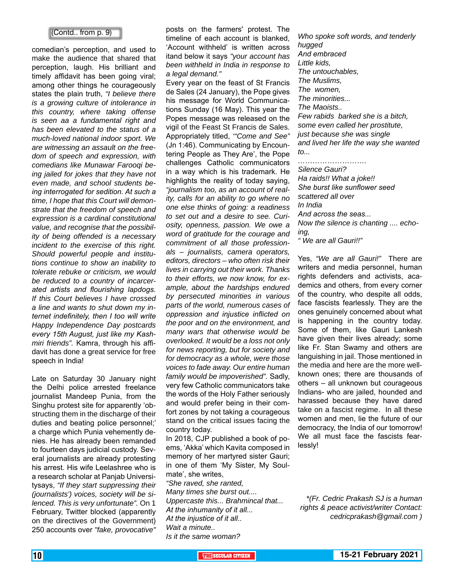### (Contd.. from p. 9)

comedian's perception, and used to make the audience that shared that perception, laugh. His brilliant and timely affidavit has been going viral; among other things he courageously states the plain truth, *"I believe there is a growing culture of intolerance in this country, where taking offense is seen aa a fundamental right and has been elevated to the status of a much-loved national indoor sport. We are witnessing an assault on the freedom of speech and expression, with comedians like Munawar Farooqi being jailed for jokes that they have not even made, and school students being interrogated for sedition. At such a time, I hope that this Court will demonstrate that the freedom of speech and expression is a cardinal constitutional value, and recognise that the possibility of being offended is a necessary incident to the exercise of this right. Should powerful people and institutions continue to show an inability to tolerate rebuke or criticism, we would be reduced to a country of incarcerated artists and flourishing lapdogs. If this Court believes I have crossed a line and wants to shut down my internet indefinitely, then I too will write Happy Independence Day postcards every 15th August, just like my Kashmiri friends".* Kamra, through his affidavit has done a great service for free speech in India!

Late on Saturday 30 January night the Delhi police arrested freelance journalist Mandeep Punia, from the Singhu protest site for apparently 'obstructing them in the discharge of their duties and beating police personnel;' a charge which Punia vehemently denies. He has already been remanded to fourteen days judicial custody. Several journalists are already protesting his arrest. His wife Leelashree who is a research scholar at Panjab Universitysays, *"If they start suppressing their (journalists') voices, society will be silenced. This is very unfortunate".* On 1 February, Twitter blocked (apparently on the directives of the Government) 250 accounts over *"fake, provocative"*

posts on the farmers' protest. The timeline of each account is blanked, 'Account withheld' is written across itand below it says *"your account has been withheld in India in response to a legal demand."*

Every year on the feast of St Francis de Sales (24 January), the Pope gives his message for World Communications Sunday (16 May). This year the Popes message was released on the vigil of the Feast St Francis de Sales. Appropriately titled, *'"Come and See"*  (Jn 1:46). Communicating by Encountering People as They Are', the Pope challenges Catholic communicators in a way which is his trademark. He highlights the reality of today saying, *"journalism too, as an account of reality, calls for an ability to go where no one else thinks of going: a readiness to set out and a desire to see. Curiosity, openness, passion. We owe a word of gratitude for the courage and commitment of all those professionals – journalists, camera operators, editors, directors – who often risk their lives in carrying out their work. Thanks to their efforts, we now know, for example, about the hardships endured by persecuted minorities in various parts of the world, numerous cases of oppression and injustice inflicted on the poor and on the environment, and many wars that otherwise would be overlooked. It would be a loss not only for news reporting, but for society and for democracy as a whole, were those voices to fade away. Our entire human family would be impoverished".* Sadly, very few Catholic communicators take the words of the Holy Father seriously and would prefer being in their comfort zones by not taking a courageous stand on the critical issues facing the country today.

In 2018, CJP published a book of poems, 'Akka' which Kavita composed in memory of her martyred sister Gauri; in one of them 'My Sister, My Soulmate', she writes,

*"She raved, she ranted, Many times she burst out.... Uppercaste this... Brahmincal that... At the inhumanity of it all... At the injustice of it all.. Wait a minute.. Is it the same woman?*

*Who spoke soft words, and tenderly hugged And embraced Little kids, The untouchables, The Muslims, The women, The minorities... The Maoists.. Few rabids barked she is a bitch, some even called her prostitute, just because she was single and lived her life the way she wanted to... ……………………….*

### *Silence Gauri?*

*Ha raids!! What a joke!! She burst like sunflower seed scattered all over In India And across the seas... Now the silence is chanting .... echoing, " We are all Gauri!!"*

Yes, *"We are all Gauri!"* There are writers and media personnel, human rights defenders and activists, academics and others, from every corner of the country, who despite all odds, face fascists fearlessly. They are the ones genuinely concerned about what is happening in the country today. Some of them, like Gauri Lankesh have given their lives already; some like Fr. Stan Swamy and others are languishing in jail. Those mentioned in the media and here are the more wellknown ones; there are thousands of others – all unknown but courageous Indians- who are jailed, hounded and harassed because they have dared take on a fascist regime. In all these women and men, lie the future of our democracy, the India of our tomorrow! We all must face the fascists fearlessly!

*\*(Fr. Cedric Prakash SJ is a human rights & peace activist/writer Contact: cedricprakash@gmail.com )*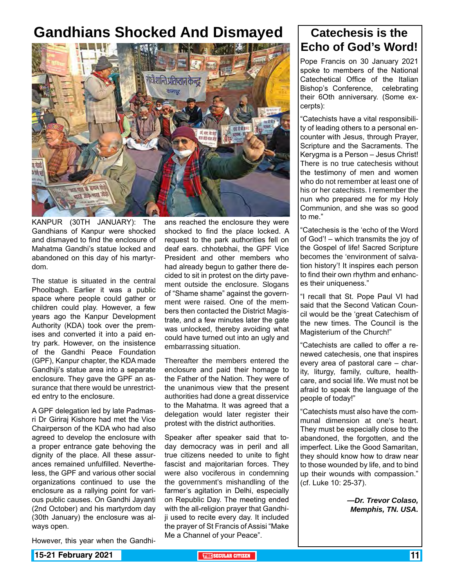### **Gandhians Shocked And Dismayed Catechesis is the**



KANPUR (30TH JANUARY): The Gandhians of Kanpur were shocked and dismayed to find the enclosure of Mahatma Gandhi's statue locked and abandoned on this day of his martyrdom.

The statue is situated in the central Phoolbagh. Earlier it was a public space where people could gather or children could play. However, a few years ago the Kanpur Development Authority (KDA) took over the premises and converted it into a paid entry park. However, on the insistence of the Gandhi Peace Foundation (GPF), Kanpur chapter, the KDA made Gandhiji's statue area into a separate enclosure. They gave the GPF an assurance that there would be unrestricted entry to the enclosure.

A GPF delegation led by late Padmasri Dr Giriraj Kishore had met the Vice Chairperson of the KDA who had also agreed to develop the enclosure with a proper entrance gate behoving the dignity of the place. All these assurances remained unfulfilled. Nevertheless, the GPF and various other social organizations continued to use the enclosure as a rallying point for various public causes. On Gandhi Jayanti (2nd October) and his martyrdom day (30th January) the enclosure was always open.

However, this year when the Gandhi-

ans reached the enclosure they were shocked to find the place locked. A request to the park authorities fell on deaf ears. chhotebhai, the GPF Vice President and other members who had already begun to gather there decided to sit in protest on the dirty pavement outside the enclosure. Slogans of "Shame shame" against the government were raised. One of the members then contacted the District Magistrate, and a few minutes later the gate was unlocked, thereby avoiding what could have turned out into an ugly and embarrassing situation.

Thereafter the members entered the enclosure and paid their homage to the Father of the Nation. They were of the unanimous view that the present authorities had done a great disservice to the Mahatma. It was agreed that a delegation would later register their protest with the district authorities.

Speaker after speaker said that today democracy was in peril and all true citizens needed to unite to fight fascist and majoritarian forces. They were also vociferous in condemning the government's mishandling of the farmer's agitation in Delhi, especially on Republic Day. The meeting ended with the all-religion prayer that Gandhiji used to recite every day. It included the prayer of St Francis of Assisi "Make Me a Channel of your Peace".

# **Echo of God's Word!**

Pope Francis on 30 January 2021 spoke to members of the National Catechetical Office of the Italian Bishop's Conference, celebrating their 6Oth anniversary. (Some excerpts):

"Catechists have a vital responsibility of leading others to a personal encounter with Jesus, through Prayer, Scripture and the Sacraments. The Kerygma is a Person – Jesus Christ! There is no true catechesis without the testimony of men and women who do not remember at least one of his or her catechists. I remember the nun who prepared me for my Holy Communion, and she was so good to me."

"Catechesis is the 'echo of the Word of God'! – which transmits the joy of the Gospel of life! Sacred Scripture becomes the 'environment of salvation history'! It inspires each person to find their own rhythm and enhances their uniqueness."

"I recall that St. Pope Paul VI had said that the Second Vatican Council would be the 'great Catechism of the new times. The Council is the Magisterium of the Church!"

"Catechists are called to offer a renewed catechesis, one that inspires every area of pastoral care – charity, liturgy, family, culture, healthcare, and social life. We must not be afraid to speak the language of the people of today!"

"Catechists must also have the communal dimension at one's heart. They must be especially close to the abandoned, the forgotten, and the imperfect. Like the Good Samaritan, they should know how to draw near to those wounded by life, and to bind up their wounds with compassion." (cf. Luke 10: 25-37).

> *—Dr. Trevor Colaso, Memphis, TN. USA.*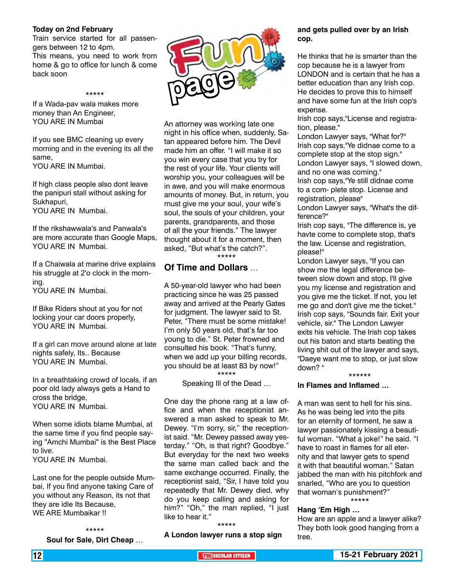### **Today on 2nd February**

Train service started for all passengers between 12 to 4pm. This means, you need to work from home & go to office for lunch & come back soon

\*\*\*\*\*

### If a Wada-pav wala makes more money than An Engineer, YOU ARE IN Mumbai

If you see BMC cleaning up every morning and in the evening its all the same,

YOU ARE IN Mumbai.

If high class people also dont leave the panipuri stall without asking for Sukhapuri, YOU ARE IN Mumbai.

If the rikshawwala's and Panwala's are more accurate than Google Maps, YOU ARE IN Mumbai.

If a Chaiwala at marine drive explains his struggle at 2'o clock in the morning.

YOU ARE IN Mumbai.

If Bike Riders shout at you for not locking your car doors properly, YOU ARE IN Mumbai.

If a girl can move around alone at late nights safely, Its.. Because YOU ARE IN Mumbai.

In a breathtaking crowd of locals, if an poor old lady always gets a Hand to cross the bridge, YOU ARE IN Mumbai.

When some idiots blame Mumbai, at the same time if you find people saying "Amchi Mumbai" is the Best Place to live. YOU ARE IN Mumbai.

Last one for the people outside Mumbai, If you find anyone taking Care of you without any Reason, its not that they are idle Its Because, WE ARE Mumbaikar !!

### \*\*\*\*\* **Soul for Sale, Dirt Cheap** …



An attorney was working late one night in his office when, suddenly, Satan appeared before him. The Devil made him an offer. "I will make it so you win every case that you try for the rest of your life. Your clients will worship you, your colleagues will be in awe, and you will make enormous amounts of money. But, in return, you must give me your soul, your wife's soul, the souls of your children, your parents, grandparents, and those of all the your friends." The lawyer thought about it for a moment, then asked, "But what's the catch?". \*\*\*\*\*

### **Of Time and Dollars** …

A 50-year-old lawyer who had been practicing since he was 25 passed away and arrived at the Pearly Gates for judgment. The lawyer said to St. Peter, "There must be some mistake! I'm only 50 years old, that's far too young to die." St. Peter frowned and consulted his book. "That's funny, when we add up your billing records, you should be at least 83 by now!" \*\*\*\*\*

Speaking Ill of the Dead …

One day the phone rang at a law office and when the receptionist answered a man asked to speak to Mr. Dewey. "I'm sorry, sir," the receptionist said. "Mr. Dewey passed away yesterday." "Oh, is that right? Goodbye." But everyday for the next two weeks the same man called back and the same exchange occurred. Finally, the receptionist said, "Sir, I have told you repeatedly that Mr. Dewey died, why do you keep calling and asking for him?" "Oh," the man replied, "I just like to hear it."

### \*\*\*\*\*

**A London lawyer runs a stop sign** 

### **and gets pulled over by an Irish cop.**

He thinks that he is smarter than the cop because he is a lawyer from LONDON and is certain that he has a better education than any Irish cop. He decides to prove this to himself and have some fun at the Irish cop's expense.

Irish cop says,"License and registration, please."

London Lawyer says, "What for?" Irish cop says,"Ye didnae come to a complete stop at the stop sign." London Lawyer says, "I slowed down, and no one was coming." Irish cop says,"Ye still didnae come

to a com- plete stop. License and registration, please"

London Lawyer says, "What's the difference?"

Irish cop says, "The difference is, ye havte come to complete stop, that's the law. License and registration, please!"

London Lawyer says, "If you can show me the legal difference between slow down and stop, I'll give you my license and registration and you give me the ticket. If not, you let me go and don't give me the ticket." Irish cop says, "Sounds fair. Exit your vehicle, sir." The London Lawyer exits his vehicle. The Irish cop takes out his baton and starts beating the living shit out of the lawyer and says, "Daeye want me to stop, or just slow down? " \*\*\*\*\*\*

### **In Flames and Inflamed …**

A man was sent to hell for his sins. As he was being led into the pits for an eternity of torment, he saw a lawyer passionately kissing a beautiful woman. "What a joke!" he said. "I have to roast in flames for all eternity and that lawyer gets to spend it with that beautiful woman." Satan jabbed the man with his pitchfork and snarled, "Who are you to question that woman's punishment?" \*\*\*\*\*

### **Hang 'Em High …**

How are an apple and a lawyer alike? They both look good hanging from a tree.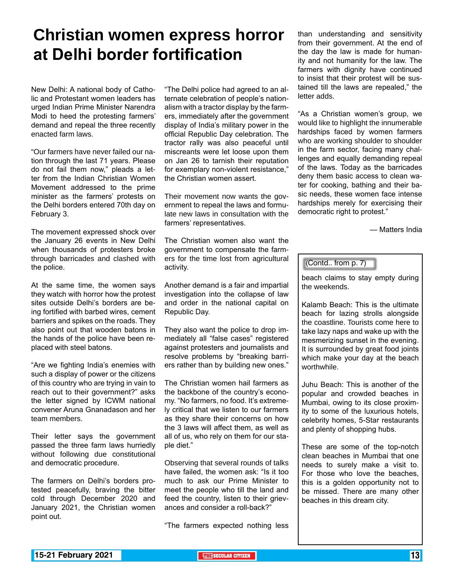### **Christian women express horror at Delhi border fortification**

New Delhi: A national body of Catholic and Protestant women leaders has urged Indian Prime Minister Narendra Modi to heed the protesting farmers' demand and repeal the three recently enacted farm laws.

"Our farmers have never failed our nation through the last 71 years. Please do not fail them now," pleads a letter from the Indian Christian Women Movement addressed to the prime minister as the farmers' protests on the Delhi borders entered 70th day on February 3.

The movement expressed shock over the January 26 events in New Delhi when thousands of protesters broke through barricades and clashed with the police.

At the same time, the women says they watch with horror how the protest sites outside Delhi's borders are being fortified with barbed wires, cement barriers and spikes on the roads. They also point out that wooden batons in the hands of the police have been replaced with steel batons.

"Are we fighting India's enemies with such a display of power or the citizens of this country who are trying in vain to reach out to their government?" asks the letter signed by ICWM national convener Aruna Gnanadason and her team members.

Their letter says the government passed the three farm laws hurriedly without following due constitutional and democratic procedure.

The farmers on Delhi's borders protested peacefully, braving the bitter cold through December 2020 and January 2021, the Christian women point out.

"The Delhi police had agreed to an alternate celebration of people's nationalism with a tractor display by the farmers, immediately after the government display of India's military power in the official Republic Day celebration. The tractor rally was also peaceful until miscreants were let loose upon them on Jan 26 to tarnish their reputation for exemplary non-violent resistance," the Christian women assert.

Their movement now wants the government to repeal the laws and formulate new laws in consultation with the farmers' representatives.

The Christian women also want the government to compensate the farmers for the time lost from agricultural activity.

Another demand is a fair and impartial investigation into the collapse of law and order in the national capital on Republic Day.

They also want the police to drop immediately all "false cases" registered against protesters and journalists and resolve problems by "breaking barriers rather than by building new ones."

The Christian women hail farmers as the backbone of the country's economy. "No farmers, no food. It's extremely critical that we listen to our farmers as they share their concerns on how the 3 laws will affect them, as well as all of us, who rely on them for our staple diet."

Observing that several rounds of talks have failed, the women ask: "Is it too much to ask our Prime Minister to meet the people who till the land and feed the country, listen to their grievances and consider a roll-back?"

"The farmers expected nothing less

than understanding and sensitivity from their government. At the end of the day the law is made for humanity and not humanity for the law. The farmers with dignity have continued to insist that their protest will be sustained till the laws are repealed," the letter adds.

"As a Christian women's group, we would like to highlight the innumerable hardships faced by women farmers who are working shoulder to shoulder in the farm sector, facing many challenges and equally demanding repeal of the laws. Today as the barricades deny them basic access to clean water for cooking, bathing and their basic needs, these women face intense hardships merely for exercising their democratic right to protest."

— Matters India

### (Contd.. from p. 7)

beach claims to stay empty during the weekends.

Kalamb Beach: This is the ultimate beach for lazing strolls alongside the coastline. Tourists come here to take lazy naps and wake up with the mesmerizing sunset in the evening. It is surrounded by great food joints which make your day at the beach worthwhile.

Juhu Beach: This is another of the popular and crowded beaches in Mumbai, owing to its close proximity to some of the luxurious hotels, celebrity homes, 5-Star restaurants and plenty of shopping hubs.

These are some of the top-notch clean beaches in Mumbai that one needs to surely make a visit to. For those who love the beaches, this is a golden opportunity not to be missed. There are many other beaches in this dream city.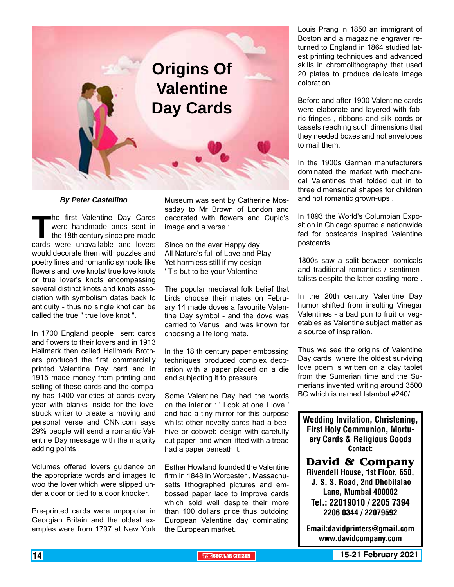

### *By Peter Castellino*

The first Valentine Day Cards<br>
were handmade ones sent in<br>
the 18th century since pre-made<br>
cards were unavailable and lovers were handmade ones sent in the 18th century since pre-made would decorate them with puzzles and poetry lines and romantic symbols like flowers and love knots/ true love knots or true lover's knots encompassing several distinct knots and knots association with symbolism dates back to antiquity - thus no single knot can be called the true " true love knot ".

In 1700 England people sent cards and flowers to their lovers and in 1913 Hallmark then called Hallmark Brothers produced the first commercially printed Valentine Day card and in 1915 made money from printing and selling of these cards and the company has 1400 varieties of cards every year with blanks inside for the lovestruck writer to create a moving and personal verse and CNN.com says 29% people will send a romantic Valentine Day message with the majority adding points .

Volumes offered lovers guidance on the appropriate words and images to woo the lover which were slipped under a door or tied to a door knocker.

Pre-printed cards were unpopular in Georgian Britain and the oldest examples were from 1797 at New York

Museum was sent by Catherine Mossaday to Mr Brown of London and decorated with flowers and Cupid's image and a verse :

Since on the ever Happy day All Nature's full of Love and Play Yet harmless still if my design ' Tis but to be your Valentine

The popular medieval folk belief that birds choose their mates on February 14 made doves a favourite Valentine Day symbol - and the dove was carried to Venus and was known for choosing a life long mate.

In the 18 th century paper embossing techniques produced complex decoration with a paper placed on a die and subjecting it to pressure .

Some Valentine Day had the words on the interior : ' Look at one I love ' and had a tiny mirror for this purpose whilst other novelty cards had a beehive or cobweb design with carefully cut paper and when lifted with a tread had a paper beneath it.

Esther Howland founded the Valentine firm in 1848 in Worcester , Massachusetts lithographed pictures and embossed paper lace to improve cards which sold well despite their more than 100 dollars price thus outdoing European Valentine day dominating the European market.

Louis Prang in 1850 an immigrant of Boston and a magazine engraver returned to England in 1864 studied latest printing techniques and advanced skills in chromolithography that used 20 plates to produce delicate image coloration.

Before and after 1900 Valentine cards were elaborate and layered with fabric fringes , ribbons and silk cords or tassels reaching such dimensions that they needed boxes and not envelopes to mail them.

In the 1900s German manufacturers dominated the market with mechanical Valentines that folded out in to three dimensional shapes for children and not romantic grown-ups .

In 1893 the World's Columbian Exposition in Chicago spurred a nationwide fad for postcards inspired Valentine postcards .

1800s saw a split between comicals and traditional romantics / sentimentalists despite the latter costing more .

In the 20th century Valentine Day humor shifted from insulting Vinegar Valentines - a bad pun to fruit or vegetables as Valentine subject matter as a source of inspiration.

Thus we see the origins of Valentine Day cards where the oldest surviving love poem is written on a clay tablet from the Sumerian time and the Sumerians invented writing around 3500 BC which is named Istanbul #240/.

Wedding Invitation, Christening, First Holy Communion, Mortuary Cards & Religious Goods Contact:

**David & Company** Rivendell House, 1st Floor, 650, J. S. S. Road, 2nd Dhobitalao Lane, Mumbai 400002 Tel.: 22019010 / 2205 7394 2206 0344 / 22079592

Email:davidprinters@gmail.com www.davidcompany.com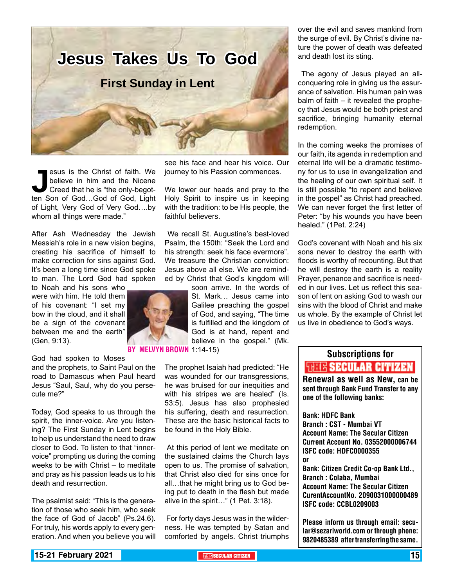

**Jesus is the Christ of faith. We believe in him and the Nicene Creed that he is "the only-begot-<br>ten Son of God...God of God, Light** believe in him and the Nicene Creed that he is "the only-begotof Light, Very God of Very God….by whom all things were made."

After Ash Wednesday the Jewish Messiah's role in a new vision begins, creating his sacrifice of himself to make correction for sins against God. It's been a long time since God spoke to man. The Lord God had spoken

to Noah and his sons who were with him. He told them of his covenant: "I set my bow in the cloud, and it shall be a sign of the covenant between me and the earth" (Gen, 9:13).

God had spoken to Moses

and the prophets, to Saint Paul on the road to Damascus when Paul heard Jesus "Saul, Saul, why do you persecute me?"

Today, God speaks to us through the spirit, the inner-voice. Are you listening? The First Sunday in Lent begins to help us understand the need to draw closer to God. To listen to that "innervoice" prompting us during the coming weeks to be with Christ – to meditate and pray as his passion leads us to his death and resurrection.

The psalmist said: "This is the generation of those who seek him, who seek the face of God of Jacob" (Ps.24.6). For truly, his words apply to every generation. And when you believe you will

see his face and hear his voice. Our journey to his Passion commences.

We lower our heads and pray to the Holy Spirit to inspire us in keeping with the tradition: to be His people, the faithful believers.

 We recall St. Augustine's best-loved Psalm, the 150th: "Seek the Lord and his strength: seek his face evermore". We treasure the Christian conviction: Jesus above all else. We are reminded by Christ that God's kingdom will

> soon arrive. In the words of St. Mark… Jesus came into Galilee preaching the gospel of God, and saying, "The time is fulfilled and the kingdom of God is at hand, repent and believe in the gospel." (Mk.

**BY MELVYN BROWN 1:14-15)** 

The prophet Isaiah had predicted: "He was wounded for our transgressions, he was bruised for our inequities and with his stripes we are healed" (Is. 53:5). Jesus has also prophesied his suffering, death and resurrection. These are the basic historical facts to be found in the Holy Bible.

 At this period of lent we meditate on the sustained claims the Church lays open to us. The promise of salvation, that Christ also died for sins once for all…that he might bring us to God being put to death in the flesh but made alive in the spirit…" (1 Pet. 3:18).

 For forty days Jesus was in the wilderness. He was tempted by Satan and comforted by angels. Christ triumphs

over the evil and saves mankind from the surge of evil. By Christ's divine nature the power of death was defeated and death lost its sting.

 The agony of Jesus played an allconquering role in giving us the assurance of salvation. His human pain was balm of faith – it revealed the prophecy that Jesus would be both priest and sacrifice, bringing humanity eternal redemption.

In the coming weeks the promises of our faith, its agenda in redemption and eternal life will be a dramatic testimony for us to use in evangelization and the healing of our own spiritual self. It is still possible "to repent and believe in the gospel" as Christ had preached. We can never forget the first letter of Peter: "by his wounds you have been healed." (1Pet. 2:24)

God's covenant with Noah and his six sons never to destroy the earth with floods is worthy of recounting. But that he will destroy the earth is a reality Prayer, penance and sacrifice is needed in our lives. Let us reflect this season of lent on asking God to wash our sins with the blood of Christ and make us whole. By the example of Christ let us live in obedience to God's ways.

### Subscriptions for **THIE SECULAR CITIZEN**<br>Renewal as well as New, can be

sent through Bank Fund Transfer to any one of the following banks:

Bank: HDFC Bank Branch : CST - Mumbai VT Account Name: The Secular Citizen Current Account No. 03552000006744 ISFC code: HDFC0000355 or

Bank: Citizen Credit Co-op Bank Ltd., Branch : Colaba, Mumbai Account Name: The Secular Citizen CurentAccountNo. 2090031000000489 ISFC code: CCBL0209003

Please inform us through email: secular@sezariworld.com or through phone: 9820485389 after transferring the same.

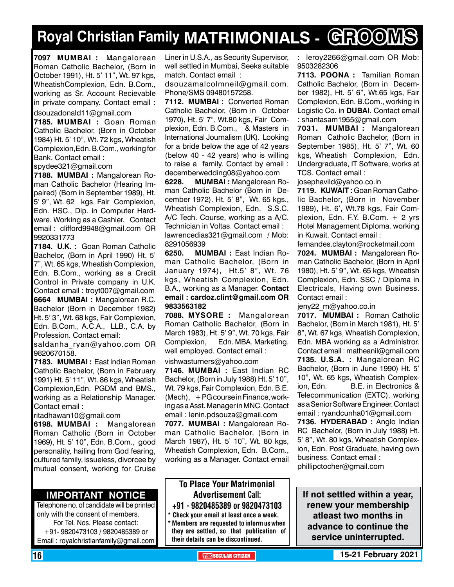### **Royal Christian Family MATRIMONIALS - GROOMS**

**7097 MUMBAI :** Mangalorean Roman Catholic Bachelor, (Born in October 1991), Ht. 5' 11", Wt. 97 kgs, WheatishComplexion, Edn. B.Com., working as Sr. Account Recievable in private company. Contact email :

dsouzadonald11@gmail.com

**7185. MUMBAI :** Goan Roman Catholic Bachelor, (Born in October 1984) Ht. 5' 10", Wt. 72 kgs, Wheatish Complexion,Edn. B.Com., working for Bank. Contact email :

spydee321@gmail.com

**7188. MUMBAI :** Mangalorean Roman Catholic Bachelor (Hearing Impaired) (Born in September 1989), Ht. 5' 9", Wt. 62 kgs, Fair Complexion, Edn. HSC., Dip. in Computer Hardware. Working as a Cashier. Contact email : clifford9948@gmail.com OR 9920331773

**7184. U.K. :** Goan Roman Catholic Bachelor, (Born in April 1990) Ht. 5' 7", Wt. 65 kgs, Wheatish Complexion, Edn. B.Com., working as a Credit Control in Private company in U.K. Contact email : troyt007@gmail.com **6664 MUMBAI :** Mangalorean R.C. Bachelor (Born in December 1982) Ht. 5' 3", Wt. 68 kgs, Fair Complexion, Edn. B.Com., A.C.A., LLB., C.A. by Profession. Contact email:

saldanha\_ryan@yahoo.com OR 9820670158.

**7183. MUMBAI :** East Indian Roman Catholic Bachelor, (Born in February 1991) Ht. 5' 11", Wt. 86 kgs, Wheatish Complexion,Edn. PGDM and BMS., working as a Relationship Manager. Contact email :

ritadhawan10@gmail.com

**6198. MUMBAI :** Mangalorean Roman Catholic (Born in October 1969), Ht. 5' 10", Edn. B.Com., good personality, hailing from God fearing, cultured family, issueless, divorcee by mutual consent, working for Cruise

### **Important Notice**

Telephone no. of candidate will be printed only with the consent of members. For Tel. Nos. Please contact: +91- 9820473103 / 9820485389 or Email : royalchristianfamily@gmail.com

Liner in U.S.A., as Security Supervisor, well settled in Mumbai, Seeks suitable match. Contact email :

dsouzamalcolmneil@gmail.com. Phone/SMS 09480157258.

**7112. MUMBAI :** Converted Roman Catholic Bachelor, (Born in October 1970), Ht. 5' 7", Wt.80 kgs, Fair Complexion, Edn. B.Com., & Masters in International Journalism (UK). Looking for a bride below the age of 42 years (below 40 - 42 years) who is willing to raise a family. Contact by email : decemberwedding08@yahoo.com

**6228. MUMBAI :** Mangalorean Roman Catholic Bachelor (Born in December 1972). Ht. 5' 8", Wt. 65 kgs., Wheatish Complexion, Edn. S.S.C. A/C Tech. Course, working as a A/C. Technician in Voltas. Contact email : lawrencedias321@gmail.com / Mob: 8291056939

**6250. MUMBAI :** East Indian Roman Catholic Bachelor, (Born in January 1974), Ht.5' 8", Wt. 76 kgs, Wheatish Complexion, Edn. B.A., working as a Manager. Contact email : cardoz.clint@gmail.com OR 9833563182

**7088. MYSORE :** Mangalorean Roman Catholic Bachelor, (Born in March 1983), Ht. 5' 9", Wt. 70 kgs, Fair Complexion, Edn. MBA. Marketing. well employed. Contact email :

vishwasturners@yahoo.com

**7146. MUMBAI :** East Indian RC Bachelor, (Born in July 1988) Ht. 5' 10", Wt. 79 kgs, Fair Complexion, Edn. B.E.  $(Mech), + PG course in Finance, work$ ing as a Asst. Manager in MNC. Contact email : lenin.pdsouza@gmail.com

**7077. MUMBAI :** Mangalorean Roman Catholic Bachelor, (Born in March 1987), Ht. 5' 10", Wt. 80 kgs, Wheatish Complexion, Edn. B.Com., working as a Manager. Contact email

### To Place Your Matrimonial Advertisement Call: +91 - 9820485389 or 9820473103

\* Check your email at least once a week. \* Members are requested to inform us when they are settled, so that publication of their details can be discontinued.

: leroy2266@gmail.com OR Mob: 9503282306

**7113. POONA :** Tamilian Roman Catholic Bachelor, (Born in December 1982), Ht. 5' 6", Wt.65 kgs, Fair Complexion, Edn. B.Com., working in Logistic Co. in **DUBAI**. Contact email : shantasam1955@gmail.com

**7031. MUMBAI :** Mangalorean Roman Catholic Bachelor, (Born in September 1985), Ht. 5' 7", Wt. 60 kgs, Wheatish Complexion, Edn. Undergraduate, IT Software, works at TCS. Contact email :

josephavild@yahoo.co.in

**7119. KUWAIT: Goan Roman Catho**lic Bachelor, (Born in November 1989), Ht. 6', Wt.78 kgs, Fair Complexion, Edn. F.Y. B.Com. + 2 yrs Hotel Management Diploma. working in Kuwait. Contact email :

fernandes.clayton@rocketmail.com **7024. MUMBAI :** Mangalorean Roman Catholic Bachelor, (Born in April 1980), Ht. 5' 9", Wt. 65 kgs, Wheatish Complexion, Edn. SSC / Diploma in Electricals, Having own Business. Contact email :

jeny22\_m@yahoo.co.in

**7017. MUMBAI :** Roman Catholic Bachelor, (Born in March 1981), Ht. 5' 8", Wt. 67 kgs, Wheatish Complexion, Edn. MBA working as a Administror. Contact email : matheanil@gmail.com **7135. U.S.A. :** Mangalorean RC Bachelor, (Born in June 1990) Ht. 5' 10", Wt. 65 kgs, Wheatish Complexion, Edn. B.E. in Electronics & Telecommunication (EXTC), working as a Senior Software Engineer. Contact email : ryandcunha01@gmail.com

**7136. HYDERABAD :** Anglo Indian RC Bachelor, (Born in July 1988) Ht. 5' 8", Wt. 80 kgs, Wheatish Complexion, Edn. Post Graduate, having own business. Contact email : phillipctocher@gmail.com

**If not settled within a year, renew your membership atleast two months in advance to continue the service uninterrupted.**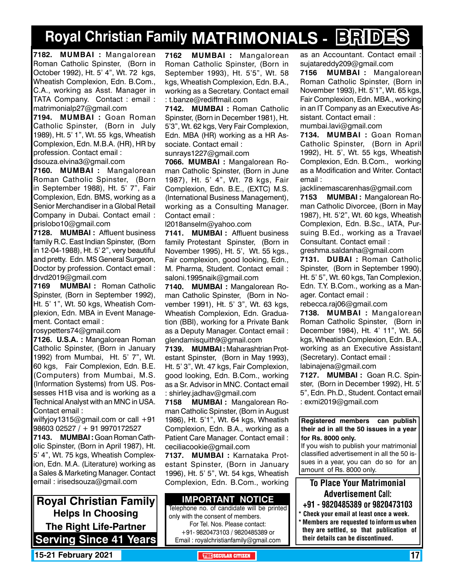### **Royal Christian Family MATRIMONIALS - BRIDES**

**7182. MUMBAI :** Mangalorean Roman Catholic Spinster, (Born in October 1992), Ht. 5' 4", Wt. 72 kgs, Wheatish Complexion, Edn. B.Com., C.A., working as Asst. Manager in TATA Company. Contact : email : matrimonialp27@gmail.com

**7194. MUMBAI :** Goan Roman Catholic Spinster, (Born in July 1989), Ht. 5' 1", Wt. 55 kgs, Wheatish Complexion, Edn. M.B.A. (HR), HR by profession. Contact email : dsouza.elvina3@gmail.com

**7160. MUMBAI :** Mangalorean Roman Catholic Spinster, (Born in September 1988), Ht. 5' 7", Fair Complexion, Edn. BMS, working as a Senior Merchandiser in a Global Retail Company in Dubai. Contact email : prislobo10@gmail.com

**7128. MUMBAI :** Affluent business family R.C. East Indian Spinster, (Born in 12-04-1988), Ht. 5' 2", very beautiful and pretty. Edn. MS General Surgeon, Doctor by profession. Contact email : drvd2019@gmail.com

**7169 MUMBAI :** Roman Catholic Spinster, (Born in September 1992), Ht. 5' 1", Wt. 50 kgs, Wheatish Complexion, Edn. MBA in Event Management. Contact email :

rosypetters74@gmail.com

**7126. U.S.A. :** Mangalorean Roman Catholic Spinster, (Born in January 1992) from Mumbai, Ht. 5' 7", Wt. 60 kgs, Fair Complexion, Edn. B.E. (Computers) from Mumbai, M.S. (Information Systems) from US. Possesses H1B visa and is working as a Technical Analyst with an MNC in USA. Contact email :

wilfyjoy1315@gmail.com or call +91 98603 02527 / + 91 9970172527

**7143. MUMBAI :** Goan Roman Catholic Spinster, (Born in April 1987), Ht. 5' 4", Wt. 75 kgs, Wheatish Complexion, Edn. M.A. (Literature) working as a Sales & Marketing Manager. Contact email : irisedsouza@gmail.com

**Royal Christian Family Helps In Choosing The Right Life-Partner Serving Since 41 Years** **7162 MUMBAI :** Mangalorean Roman Catholic Spinster, (Born in September 1993), Ht. 5'5", Wt. 58 kgs, Wheatish Complexion, Edn. B.A., working as a Secretary. Contact email : t.banze@rediffmail.com

**7142. MUMBAI :** Roman Catholic Spinster, (Born in December 1981), Ht. 5'3", Wt. 62 kgs, Very Fair Complexion, Edn. MBA (HR) working as a HR Associate. Contact email :

sunrays1227@gmail.com

**7066. MUMBAI :** Mangalorean Roman Catholic Spinster, (Born in June 1987), Ht. 5' 4", Wt. 78 kgs, Fair Complexion, Edn. B.E., (EXTC) M.S. (International Business Management), working as a Consulting Manager. Contact email :

l2018anselm@yahoo.com

**7141. MUMBAI :** Affluent business family Protestant Spinster, (Born in November 1995), Ht. 5', Wt. 55 kgs., Fair complexion, good looking, Edn., M. Pharma, Student. Contact email : saloni.1995naik@gmail.com

**7140. MUMBAI :** Mangalorean Roman Catholic Spinster, (Born in November 1991), Ht. 5' 3", Wt. 63 kgs, Wheatish Complexion, Edn. Graduation (BBI), working for a Private Bank as a Deputy Manager. Contact email : glendamisquith9@gmail.com

**7139. MUMBAI :** Maharashtrian Protestant Spinster, (Born in May 1993), Ht. 5' 3", Wt. 47 kgs, Fair Complexion, good looking, Edn. B.Com., working as a Sr. Advisor in MNC. Contact email : shirley.jadhav@gmail.com

**7158 MUMBAI :** Mangalorean Roman Catholic Spinster, (Born in August 1986), Ht. 5'1", Wt. 64 kgs, Wheatish Complexion, Edn. B.A., working as a Patient Care Manager. Contact email : ceciliacookie@gmail.com

**7137. MUMBAI :** Karnataka Protestant Spinster, (Born in January 1996), Ht. 5' 5", Wt. 54 kgs, Wheatish Complexion, Edn. B.Com., working

### **Important Notice**

Telephone no. of candidate will be printed only with the consent of members. For Tel. Nos. Please contact: +91- 9820473103 / 9820485389 or Email : royalchristianfamily@gmail.com

as an Accountant. Contact email sujatareddy209@gmail.com

**7156 MUMBAI :** Mangalorean Roman Catholic Spinster, (Born in November 1993), Ht. 5'1", Wt. 65 kgs, Fair Complexion, Edn. MBA., working in an IT Company as an Executive Assistant. Contact email : mumbai.lavi@gmail.com

**7134. MUMBAI :** Goan Roman Catholic Spinster, (Born in April 1992), Ht. 5', Wt. 55 kgs, Wheatish Complexion, Edn. B.Com., working as a Modification and Writer. Contact email :

jacklinemascarenhas@gmail.com

**7153 MUMBAI :** Mangalorean Roman Catholic Divorcee, (Born in May 1987), Ht. 5'2", Wt. 60 kgs, Wheatish Complexion, Edn. B.Sc., IATA, Pursuing B.Ed., working as a Travael Consultant. Contact email :

greshma.saldanha@gmail.com

**7131. DUBAI :** Roman Catholic Spinster, (Born in September 1990), Ht. 5' 5", Wt. 60 kgs, Tan Complexion, Edn. T.Y. B.Com., working as a Manager. Contact email :

rebecca.raj06@gmail.com

**7138. MUMBAI :** Mangalorean Roman Catholic Spinster, (Born in December 1984), Ht. 4' 11", Wt. 56 kgs, Wheatish Complexion, Edn. B.A., working as an Executive Assistant (Secretary). Contact email : labinajena@gmail.com

**7127. MUMBAI :** Goan R.C. Spinster, (Born in December 1992), Ht. 5' 5", Edn. Ph.D., Student. Contact email : exmi2019@gmail.com

#### **Registered members can publish their ad in all the 50 issues in a year for Rs. 8000 only.**

If you wish to publish your matrimonial classified advertisement in all the 50 issues in a year, you can do so for an amount of Rs. 8000 only.

### To Place Your Matrimonial Advertisement Call:

- +91 9820485389 or 9820473103
- \* Check your email at least once a week. \* Members are requested to inform us when they are settled, so that publication of their details can be discontinued.

**15-21 February 2021 THE SECULAR CITIZEN** 17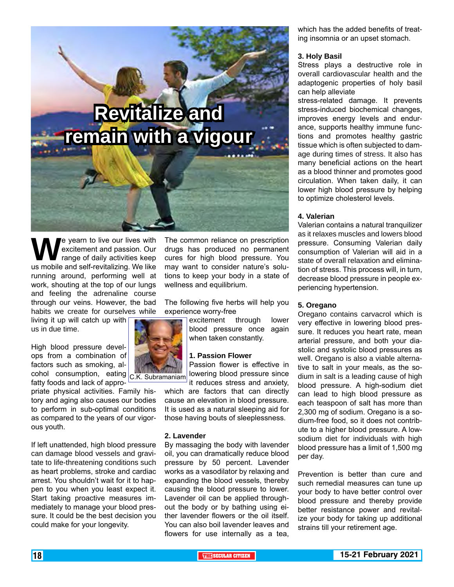# **Revitalize and remain with a vigour**

We yearn to live our lives with<br>
range of daily activities keep<br>
us mobile and self-revitalizing. We like excitement and passion. Our range of daily activities keep running around, performing well at work, shouting at the top of our lungs and feeling the adrenaline course through our veins. However, the bad habits we create for ourselves while

living it up will catch up with us in due time.

High blood pressure develops from a combination of factors such as smoking, alcohol consumption, eating C.K. Subramaniam fatty foods and lack of appro-

priate physical activities. Family history and aging also causes our bodies to perform in sub-optimal conditions as compared to the years of our vigorous youth.

If left unattended, high blood pressure can damage blood vessels and gravitate to life-threatening conditions such as heart problems, stroke and cardiac arrest. You shouldn't wait for it to happen to you when you least expect it. Start taking proactive measures immediately to manage your blood pressure. It could be the best decision you could make for your longevity.

The common reliance on prescription drugs has produced no permanent cures for high blood pressure. You may want to consider nature's solutions to keep your body in a state of wellness and equilibrium.

The following five herbs will help you experience worry-free

> excitement through lower blood pressure once again when taken constantly.

#### **1. Passion Flower**

Passion flower is effective in lowering blood pressure since it reduces stress and anxiety,

which are factors that can directly cause an elevation in blood pressure. It is used as a natural sleeping aid for those having bouts of sleeplessness.

#### **2. Lavender**

By massaging the body with lavender oil, you can dramatically reduce blood pressure by 50 percent. Lavender works as a vasodilator by relaxing and expanding the blood vessels, thereby causing the blood pressure to lower. Lavender oil can be applied throughout the body or by bathing using either lavender flowers or the oil itself. You can also boil lavender leaves and flowers for use internally as a tea,

which has the added benefits of treating insomnia or an upset stomach.

#### **3. Holy Basil**

Stress plays a destructive role in overall cardiovascular health and the adaptogenic properties of holy basil can help alleviate

stress-related damage. It prevents stress-induced biochemical changes, improves energy levels and endurance, supports healthy immune functions and promotes healthy gastric tissue which is often subjected to damage during times of stress. It also has many beneficial actions on the heart as a blood thinner and promotes good circulation. When taken daily, it can lower high blood pressure by helping to optimize cholesterol levels.

#### **4. Valerian**

Valerian contains a natural tranquilizer as it relaxes muscles and lowers blood pressure. Consuming Valerian daily consumption of Valerian will aid in a state of overall relaxation and elimination of stress. This process will, in turn, decrease blood pressure in people experiencing hypertension.

#### **5. Oregano**

Oregano contains carvacrol which is very effective in lowering blood pressure. It reduces you heart rate, mean arterial pressure, and both your diastolic and systolic blood pressures as well. Oregano is also a viable alternative to salt in your meals, as the sodium in salt is a leading cause of high blood pressure. A high-sodium diet can lead to high blood pressure as each teaspoon of salt has more than 2,300 mg of sodium. Oregano is a sodium-free food, so it does not contribute to a higher blood pressure. A lowsodium diet for individuals with high blood pressure has a limit of 1,500 mg per day.

Prevention is better than cure and such remedial measures can tune up your body to have better control over blood pressure and thereby provide better resistance power and revitalize your body for taking up additional strains till your retirement age.

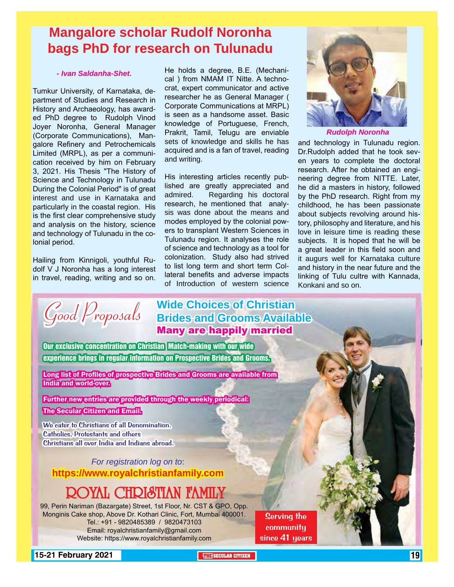### **Mangalore scholar Rudolf Noronha bags PhD for research on Tulunadu**

### *- Ivan Saldanha-Shet.*

Tumkur University, of Karnataka, department of Studies and Research in History and Archaeology, has awarded PhD degree to Rudolph Vinod Joyer Noronha, General Manager (Corporate Communications), Mangalore Refinery and Petrochemicals Limited (MRPL), as per a communication received by him on February 3, 2021. His Thesis "The History of Science and Technology in Tulunadu During the Colonial Period" is of great interest and use in Karnataka and particularly in the coastal region. His is the first clear comprehensive study and analysis on the history, science and technology of Tulunadu in the colonial period.

Hailing from Kinnigoli, youthful Rudolf V J Noronha has a long interest in travel, reading, writing and so on.

He holds a degree, B.E. (Mechanical ) from NMAM IT Nitte. A technocrat, expert communicator and active researcher he as General Manager ( Corporate Communications at MRPL) is seen as a handsome asset. Basic knowledge of Portuguese, French, Prakrit, Tamil, Telugu are enviable sets of knowledge and skills he has acquired and is a fan of travel, reading and writing.

His interesting articles recently published are greatly appreciated and admired. Regarding his doctoral research, he mentioned that analysis was done about the means and modes employed by the colonial powers to transplant Western Sciences in Tulunadu region. It analyses the role of science and technology as a tool for colonization. Study also had strived to list long term and short term Collateral benefits and adverse impacts of Introduction of western science



*Rudolph Noronha*

and technology in Tulunadu region. Dr.Rudolph added that he took seven years to complete the doctoral research. After he obtained an engineering degree from NITTE. Later, he did a masters in history, followed by the PhD research. Right from my childhood, he has been passionate about subjects revolving around history, philosophy and literature, and his love in leisure time is reading these subjects. It is hoped that he will be a great leader in this field soon and it augurs well for Karnataka culture and history in the near future and the linking of Tulu cultre with Kannada, Konkani and so on.

*Good Proposals*

### **Wide Choices of Christian Brides and Grooms Available** Many are happily married

Our exclusive concentration on Christian Match-making with our wide experience brings in regular information on Prospective Brides and Grooms.

Long list of Profiles of prospective Brides and Grooms are available from India and world-over.

Further new entries are provided through the weekly periodical: The Secular Citizen and Email.

We cater to Christians of all Denomination. Catholics, Protestants and others Christians all over India and Indians abroad.

*For registration log on to*: **https://www.royalchristianfamily.com**

### ROYAL CHRISTIAN FAMILY

99, Perin Nariman (Bazargate) Street, 1st Floor, Nr. CST & GPO, Opp. Monginis Cake shop, Above Dr. Kothari Clinic, Fort, Mumbai 400001. Tel.: +91 - 9820485389 / 9820473103 Email: royalchristianfamily@gmail.com Website: https://www.royalchristianfamily.com

Serving the **community** since 41 years

**15-21 February 2021 The SECULAR CITIZEN 19 SECULAR CITIZEN** 19